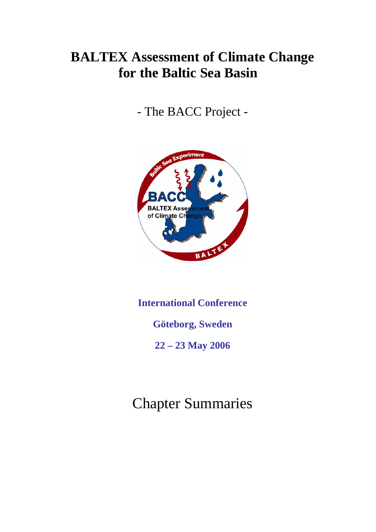# **BALTEX Assessment of Climate Change for the Baltic Sea Basin**

- The BACC Project -



### **International Conference**

**Göteborg, Sweden** 

**22 – 23 May 2006** 

Chapter Summaries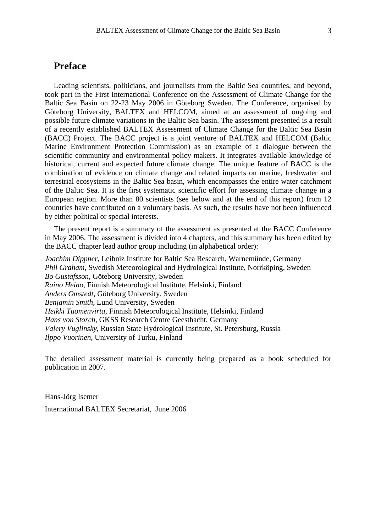### **Preface**

Leading scientists, politicians, and journalists from the Baltic Sea countries, and beyond, took part in the First International Conference on the Assessment of Climate Change for the Baltic Sea Basin on 22-23 May 2006 in Göteborg Sweden. The Conference, organised by Göteborg University, BALTEX and HELCOM, aimed at an assessment of ongoing and possible future climate variations in the Baltic Sea basin. The assessment presented is a result of a recently established BALTEX Assessment of Climate Change for the Baltic Sea Basin (BACC) Project. The BACC project is a joint venture of BALTEX and HELCOM (Baltic Marine Environment Protection Commission) as an example of a dialogue between the scientific community and environmental policy makers. It integrates available knowledge of historical, current and expected future climate change. The unique feature of BACC is the combination of evidence on climate change and related impacts on marine, freshwater and terrestrial ecosystems in the Baltic Sea basin, which encompasses the entire water catchment of the Baltic Sea. It is the first systematic scientific effort for assessing climate change in a European region. More than 80 scientists (see below and at the end of this report) from 12 countries have contributed on a voluntary basis. As such, the results have not been influenced by either political or special interests.

The present report is a summary of the assessment as presented at the BACC Conference in May 2006. The assessment is divided into 4 chapters, and this summary has been edited by the BACC chapter lead author group including (in alphabetical order):

*Joachim Dippner*, Leibniz Institute for Baltic Sea Research, Warnemünde, Germany *Phil Graham*, Swedish Meteorological and Hydrological Institute, Norrköping, Sweden *Bo Gustafsson*, Göteborg University, Sweden *Raino Heino*, Finnish Meteorological Institute, Helsinki, Finland *Anders Omstedt*, Göteborg University, Sweden *Benjamin Smith*, Lund University, Sweden *Heikki Tuomenvirta*, Finnish Meteorological Institute, Helsinki, Finland *Hans von Storch*, GKSS Research Centre Geesthacht, Germany *Valery Vuglinsky*, Russian State Hydrological Institute, St. Petersburg, Russia *Ilppo Vuorinen*, University of Turku, Finland

The detailed assessment material is currently being prepared as a book scheduled for publication in 2007.

Hans-Jörg Isemer International BALTEX Secretariat, June 2006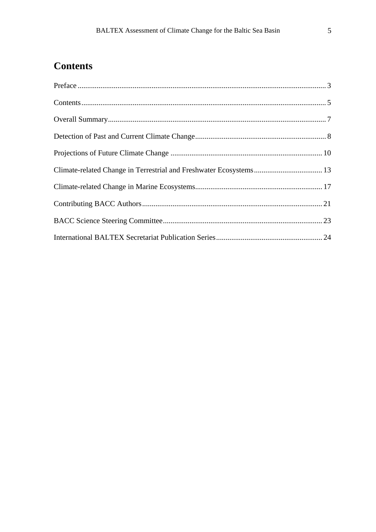### **Contents**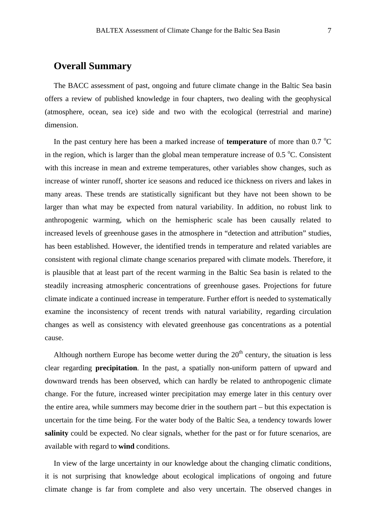### **Overall Summary**

The BACC assessment of past, ongoing and future climate change in the Baltic Sea basin offers a review of published knowledge in four chapters, two dealing with the geophysical (atmosphere, ocean, sea ice) side and two with the ecological (terrestrial and marine) dimension.

In the past century here has been a marked increase of **temperature** of more than  $0.7 \text{ }^{\circ}\text{C}$ in the region, which is larger than the global mean temperature increase of  $0.5 \degree C$ . Consistent with this increase in mean and extreme temperatures, other variables show changes, such as increase of winter runoff, shorter ice seasons and reduced ice thickness on rivers and lakes in many areas. These trends are statistically significant but they have not been shown to be larger than what may be expected from natural variability. In addition, no robust link to anthropogenic warming, which on the hemispheric scale has been causally related to increased levels of greenhouse gases in the atmosphere in "detection and attribution" studies, has been established. However, the identified trends in temperature and related variables are consistent with regional climate change scenarios prepared with climate models. Therefore, it is plausible that at least part of the recent warming in the Baltic Sea basin is related to the steadily increasing atmospheric concentrations of greenhouse gases. Projections for future climate indicate a continued increase in temperature. Further effort is needed to systematically examine the inconsistency of recent trends with natural variability, regarding circulation changes as well as consistency with elevated greenhouse gas concentrations as a potential cause.

Although northern Europe has become wetter during the  $20<sup>th</sup>$  century, the situation is less clear regarding **precipitation**. In the past, a spatially non-uniform pattern of upward and downward trends has been observed, which can hardly be related to anthropogenic climate change. For the future, increased winter precipitation may emerge later in this century over the entire area, while summers may become drier in the southern part – but this expectation is uncertain for the time being. For the water body of the Baltic Sea, a tendency towards lower salinity could be expected. No clear signals, whether for the past or for future scenarios, are available with regard to **wind** conditions.

In view of the large uncertainty in our knowledge about the changing climatic conditions, it is not surprising that knowledge about ecological implications of ongoing and future climate change is far from complete and also very uncertain. The observed changes in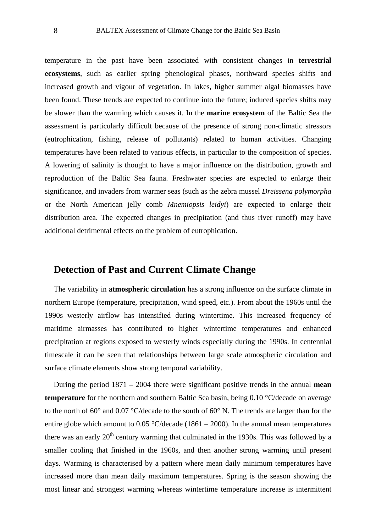temperature in the past have been associated with consistent changes in **terrestrial ecosystems**, such as earlier spring phenological phases, northward species shifts and increased growth and vigour of vegetation. In lakes, higher summer algal biomasses have been found. These trends are expected to continue into the future; induced species shifts may be slower than the warming which causes it. In the **marine ecosystem** of the Baltic Sea the assessment is particularly difficult because of the presence of strong non-climatic stressors (eutrophication, fishing, release of pollutants) related to human activities. Changing temperatures have been related to various effects, in particular to the composition of species. A lowering of salinity is thought to have a major influence on the distribution, growth and reproduction of the Baltic Sea fauna. Freshwater species are expected to enlarge their significance, and invaders from warmer seas (such as the zebra mussel *Dreissena polymorpha*  or the North American jelly comb *Mnemiopsis leidyi*) are expected to enlarge their distribution area. The expected changes in precipitation (and thus river runoff) may have additional detrimental effects on the problem of eutrophication.

### **Detection of Past and Current Climate Change**

The variability in **atmospheric circulation** has a strong influence on the surface climate in northern Europe (temperature, precipitation, wind speed, etc.). From about the 1960s until the 1990s westerly airflow has intensified during wintertime. This increased frequency of maritime airmasses has contributed to higher wintertime temperatures and enhanced precipitation at regions exposed to westerly winds especially during the 1990s. In centennial timescale it can be seen that relationships between large scale atmospheric circulation and surface climate elements show strong temporal variability.

During the period 1871 – 2004 there were significant positive trends in the annual **mean temperature** for the northern and southern Baltic Sea basin, being 0.10 °C/decade on average to the north of 60° and 0.07 °C/decade to the south of 60° N. The trends are larger than for the entire globe which amount to 0.05  $\textdegree$ C/decade (1861 – 2000). In the annual mean temperatures there was an early  $20<sup>th</sup>$  century warming that culminated in the 1930s. This was followed by a smaller cooling that finished in the 1960s, and then another strong warming until present days. Warming is characterised by a pattern where mean daily minimum temperatures have increased more than mean daily maximum temperatures. Spring is the season showing the most linear and strongest warming whereas wintertime temperature increase is intermittent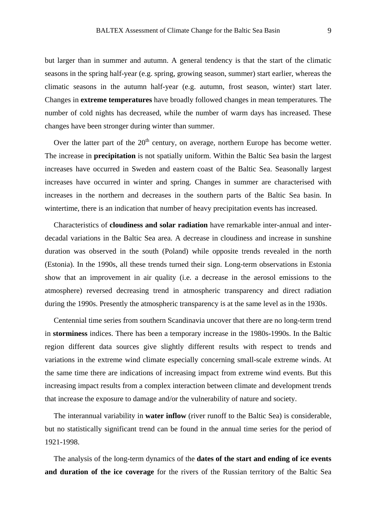but larger than in summer and autumn. A general tendency is that the start of the climatic seasons in the spring half-year (e.g. spring, growing season, summer) start earlier, whereas the climatic seasons in the autumn half-year (e.g. autumn, frost season, winter) start later. Changes in **extreme temperatures** have broadly followed changes in mean temperatures. The number of cold nights has decreased, while the number of warm days has increased. These changes have been stronger during winter than summer.

Over the latter part of the  $20<sup>th</sup>$  century, on average, northern Europe has become wetter. The increase in **precipitation** is not spatially uniform. Within the Baltic Sea basin the largest increases have occurred in Sweden and eastern coast of the Baltic Sea. Seasonally largest increases have occurred in winter and spring. Changes in summer are characterised with increases in the northern and decreases in the southern parts of the Baltic Sea basin. In wintertime, there is an indication that number of heavy precipitation events has increased.

Characteristics of **cloudiness and solar radiation** have remarkable inter-annual and interdecadal variations in the Baltic Sea area. A decrease in cloudiness and increase in sunshine duration was observed in the south (Poland) while opposite trends revealed in the north (Estonia). In the 1990s, all these trends turned their sign. Long-term observations in Estonia show that an improvement in air quality (i.e. a decrease in the aerosol emissions to the atmosphere) reversed decreasing trend in atmospheric transparency and direct radiation during the 1990s. Presently the atmospheric transparency is at the same level as in the 1930s.

Centennial time series from southern Scandinavia uncover that there are no long-term trend in **storminess** indices. There has been a temporary increase in the 1980s-1990s. In the Baltic region different data sources give slightly different results with respect to trends and variations in the extreme wind climate especially concerning small-scale extreme winds. At the same time there are indications of increasing impact from extreme wind events. But this increasing impact results from a complex interaction between climate and development trends that increase the exposure to damage and/or the vulnerability of nature and society.

The interannual variability in **water inflow** (river runoff to the Baltic Sea) is considerable, but no statistically significant trend can be found in the annual time series for the period of 1921-1998.

The analysis of the long-term dynamics of the **dates of the start and ending of ice events and duration of the ice coverage** for the rivers of the Russian territory of the Baltic Sea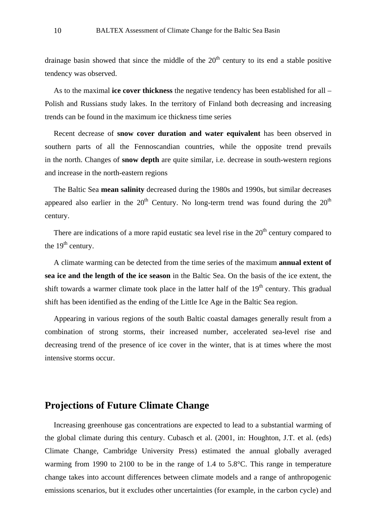drainage basin showed that since the middle of the  $20<sup>th</sup>$  century to its end a stable positive tendency was observed.

As to the maximal **ice cover thickness** the negative tendency has been established for all – Polish and Russians study lakes. In the territory of Finland both decreasing and increasing trends can be found in the maximum ice thickness time series

Recent decrease of **snow cover duration and water equivalent** has been observed in southern parts of all the Fennoscandian countries, while the opposite trend prevails in the north. Changes of **snow depth** are quite similar, i.e. decrease in south-western regions and increase in the north-eastern regions

The Baltic Sea **mean salinity** decreased during the 1980s and 1990s, but similar decreases appeared also earlier in the  $20<sup>th</sup>$  Century. No long-term trend was found during the  $20<sup>th</sup>$ century.

There are indications of a more rapid eustatic sea level rise in the  $20<sup>th</sup>$  century compared to the  $19<sup>th</sup>$  century.

A climate warming can be detected from the time series of the maximum **annual extent of sea ice and the length of the ice season** in the Baltic Sea. On the basis of the ice extent, the shift towards a warmer climate took place in the latter half of the  $19<sup>th</sup>$  century. This gradual shift has been identified as the ending of the Little Ice Age in the Baltic Sea region.

Appearing in various regions of the south Baltic coastal damages generally result from a combination of strong storms, their increased number, accelerated sea-level rise and decreasing trend of the presence of ice cover in the winter, that is at times where the most intensive storms occur.

### **Projections of Future Climate Change**

Increasing greenhouse gas concentrations are expected to lead to a substantial warming of the global climate during this century. Cubasch et al. (2001, in: Houghton, J.T. et al. (eds) Climate Change, Cambridge University Press) estimated the annual globally averaged warming from 1990 to 2100 to be in the range of 1.4 to 5.8°C. This range in temperature change takes into account differences between climate models and a range of anthropogenic emissions scenarios, but it excludes other uncertainties (for example, in the carbon cycle) and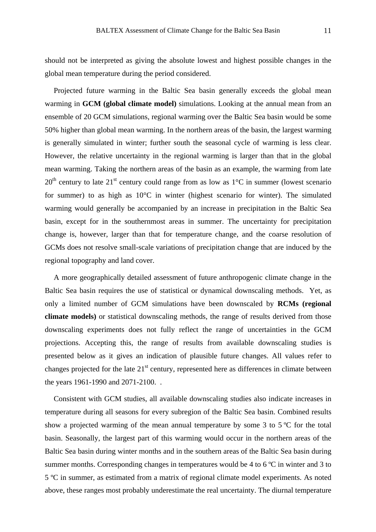should not be interpreted as giving the absolute lowest and highest possible changes in the global mean temperature during the period considered.

Projected future warming in the Baltic Sea basin generally exceeds the global mean warming in **GCM (global climate model)** simulations. Looking at the annual mean from an ensemble of 20 GCM simulations, regional warming over the Baltic Sea basin would be some 50% higher than global mean warming. In the northern areas of the basin, the largest warming is generally simulated in winter; further south the seasonal cycle of warming is less clear. However, the relative uncertainty in the regional warming is larger than that in the global mean warming. Taking the northern areas of the basin as an example, the warming from late  $20<sup>th</sup>$  century to late  $21<sup>st</sup>$  century could range from as low as  $1<sup>°</sup>C$  in summer (lowest scenario for summer) to as high as 10°C in winter (highest scenario for winter). The simulated warming would generally be accompanied by an increase in precipitation in the Baltic Sea basin, except for in the southernmost areas in summer. The uncertainty for precipitation change is, however, larger than that for temperature change, and the coarse resolution of GCMs does not resolve small-scale variations of precipitation change that are induced by the regional topography and land cover.

A more geographically detailed assessment of future anthropogenic climate change in the Baltic Sea basin requires the use of statistical or dynamical downscaling methods. Yet, as only a limited number of GCM simulations have been downscaled by **RCMs (regional climate models)** or statistical downscaling methods, the range of results derived from those downscaling experiments does not fully reflect the range of uncertainties in the GCM projections. Accepting this, the range of results from available downscaling studies is presented below as it gives an indication of plausible future changes. All values refer to changes projected for the late  $21<sup>st</sup>$  century, represented here as differences in climate between the years 1961-1990 and 2071-2100. .

Consistent with GCM studies, all available downscaling studies also indicate increases in temperature during all seasons for every subregion of the Baltic Sea basin. Combined results show a projected warming of the mean annual temperature by some 3 to 5  $\degree$ C for the total basin. Seasonally, the largest part of this warming would occur in the northern areas of the Baltic Sea basin during winter months and in the southern areas of the Baltic Sea basin during summer months. Corresponding changes in temperatures would be 4 to 6 °C in winter and 3 to 5 ºC in summer, as estimated from a matrix of regional climate model experiments. As noted above, these ranges most probably underestimate the real uncertainty. The diurnal temperature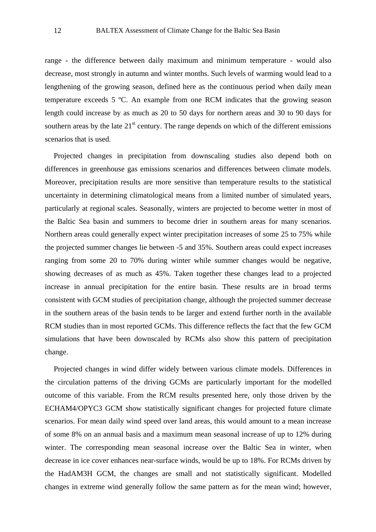range - the difference between daily maximum and minimum temperature - would also decrease, most strongly in autumn and winter months. Such levels of warming would lead to a lengthening of the growing season, defined here as the continuous period when daily mean temperature exceeds 5 ºC. An example from one RCM indicates that the growing season length could increase by as much as 20 to 50 days for northern areas and 30 to 90 days for southern areas by the late  $21<sup>st</sup>$  century. The range depends on which of the different emissions scenarios that is used.

Projected changes in precipitation from downscaling studies also depend both on differences in greenhouse gas emissions scenarios and differences between climate models. Moreover, precipitation results are more sensitive than temperature results to the statistical uncertainty in determining climatological means from a limited number of simulated years, particularly at regional scales. Seasonally, winters are projected to become wetter in most of the Baltic Sea basin and summers to become drier in southern areas for many scenarios. Northern areas could generally expect winter precipitation increases of some 25 to 75% while the projected summer changes lie between -5 and 35%. Southern areas could expect increases ranging from some 20 to 70% during winter while summer changes would be negative, showing decreases of as much as 45%. Taken together these changes lead to a projected increase in annual precipitation for the entire basin. These results are in broad terms consistent with GCM studies of precipitation change, although the projected summer decrease in the southern areas of the basin tends to be larger and extend further north in the available RCM studies than in most reported GCMs. This difference reflects the fact that the few GCM simulations that have been downscaled by RCMs also show this pattern of precipitation change.

Projected changes in wind differ widely between various climate models. Differences in the circulation patterns of the driving GCMs are particularly important for the modelled outcome of this variable. From the RCM results presented here, only those driven by the ECHAM4/OPYC3 GCM show statistically significant changes for projected future climate scenarios. For mean daily wind speed over land areas, this would amount to a mean increase of some 8% on an annual basis and a maximum mean seasonal increase of up to 12% during winter. The corresponding mean seasonal increase over the Baltic Sea in winter, when decrease in ice cover enhances near-surface winds, would be up to 18%. For RCMs driven by the HadAM3H GCM, the changes are small and not statistically significant. Modelled changes in extreme wind generally follow the same pattern as for the mean wind; however,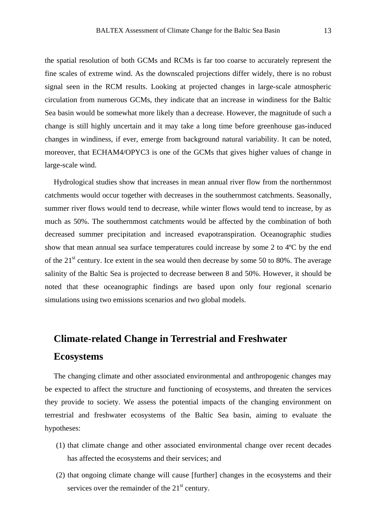the spatial resolution of both GCMs and RCMs is far too coarse to accurately represent the fine scales of extreme wind. As the downscaled projections differ widely, there is no robust signal seen in the RCM results. Looking at projected changes in large-scale atmospheric circulation from numerous GCMs, they indicate that an increase in windiness for the Baltic Sea basin would be somewhat more likely than a decrease. However, the magnitude of such a change is still highly uncertain and it may take a long time before greenhouse gas-induced changes in windiness, if ever, emerge from background natural variability. It can be noted, moreover, that ECHAM4/OPYC3 is one of the GCMs that gives higher values of change in large-scale wind.

Hydrological studies show that increases in mean annual river flow from the northernmost catchments would occur together with decreases in the southernmost catchments. Seasonally, summer river flows would tend to decrease, while winter flows would tend to increase, by as much as 50%. The southernmost catchments would be affected by the combination of both decreased summer precipitation and increased evapotranspiration. Oceanographic studies show that mean annual sea surface temperatures could increase by some 2 to 4ºC by the end of the  $21<sup>st</sup>$  century. Ice extent in the sea would then decrease by some 50 to 80%. The average salinity of the Baltic Sea is projected to decrease between 8 and 50%. However, it should be noted that these oceanographic findings are based upon only four regional scenario simulations using two emissions scenarios and two global models.

## **Climate-related Change in Terrestrial and Freshwater Ecosystems**

The changing climate and other associated environmental and anthropogenic changes may be expected to affect the structure and functioning of ecosystems, and threaten the services they provide to society. We assess the potential impacts of the changing environment on terrestrial and freshwater ecosystems of the Baltic Sea basin, aiming to evaluate the hypotheses:

- (1) that climate change and other associated environmental change over recent decades has affected the ecosystems and their services; and
- (2) that ongoing climate change will cause [further] changes in the ecosystems and their services over the remainder of the  $21<sup>st</sup>$  century.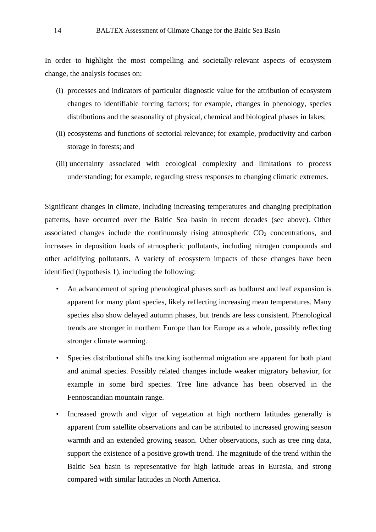In order to highlight the most compelling and societally-relevant aspects of ecosystem change, the analysis focuses on:

- (i) processes and indicators of particular diagnostic value for the attribution of ecosystem changes to identifiable forcing factors; for example, changes in phenology, species distributions and the seasonality of physical, chemical and biological phases in lakes;
- (ii) ecosystems and functions of sectorial relevance; for example, productivity and carbon storage in forests; and
- (iii) uncertainty associated with ecological complexity and limitations to process understanding; for example, regarding stress responses to changing climatic extremes.

Significant changes in climate, including increasing temperatures and changing precipitation patterns, have occurred over the Baltic Sea basin in recent decades (see above). Other associated changes include the continuously rising atmospheric  $CO<sub>2</sub>$  concentrations, and increases in deposition loads of atmospheric pollutants, including nitrogen compounds and other acidifying pollutants. A variety of ecosystem impacts of these changes have been identified (hypothesis 1), including the following:

- An advancement of spring phenological phases such as budburst and leaf expansion is apparent for many plant species, likely reflecting increasing mean temperatures. Many species also show delayed autumn phases, but trends are less consistent. Phenological trends are stronger in northern Europe than for Europe as a whole, possibly reflecting stronger climate warming.
- Species distributional shifts tracking isothermal migration are apparent for both plant and animal species. Possibly related changes include weaker migratory behavior, for example in some bird species. Tree line advance has been observed in the Fennoscandian mountain range.
- Increased growth and vigor of vegetation at high northern latitudes generally is apparent from satellite observations and can be attributed to increased growing season warmth and an extended growing season. Other observations, such as tree ring data, support the existence of a positive growth trend. The magnitude of the trend within the Baltic Sea basin is representative for high latitude areas in Eurasia, and strong compared with similar latitudes in North America.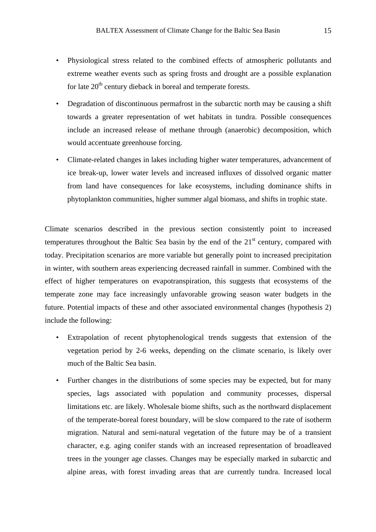- Physiological stress related to the combined effects of atmospheric pollutants and extreme weather events such as spring frosts and drought are a possible explanation for late  $20<sup>th</sup>$  century dieback in boreal and temperate forests.
- Degradation of discontinuous permafrost in the subarctic north may be causing a shift towards a greater representation of wet habitats in tundra. Possible consequences include an increased release of methane through (anaerobic) decomposition, which would accentuate greenhouse forcing.
- Climate-related changes in lakes including higher water temperatures, advancement of ice break-up, lower water levels and increased influxes of dissolved organic matter from land have consequences for lake ecosystems, including dominance shifts in phytoplankton communities, higher summer algal biomass, and shifts in trophic state.

Climate scenarios described in the previous section consistently point to increased temperatures throughout the Baltic Sea basin by the end of the  $21<sup>st</sup>$  century, compared with today. Precipitation scenarios are more variable but generally point to increased precipitation in winter, with southern areas experiencing decreased rainfall in summer. Combined with the effect of higher temperatures on evapotranspiration, this suggests that ecosystems of the temperate zone may face increasingly unfavorable growing season water budgets in the future. Potential impacts of these and other associated environmental changes (hypothesis 2) include the following:

- Extrapolation of recent phytophenological trends suggests that extension of the vegetation period by 2-6 weeks, depending on the climate scenario, is likely over much of the Baltic Sea basin.
- Further changes in the distributions of some species may be expected, but for many species, lags associated with population and community processes, dispersal limitations etc. are likely. Wholesale biome shifts, such as the northward displacement of the temperate-boreal forest boundary, will be slow compared to the rate of isotherm migration. Natural and semi-natural vegetation of the future may be of a transient character, e.g. aging conifer stands with an increased representation of broadleaved trees in the younger age classes. Changes may be especially marked in subarctic and alpine areas, with forest invading areas that are currently tundra. Increased local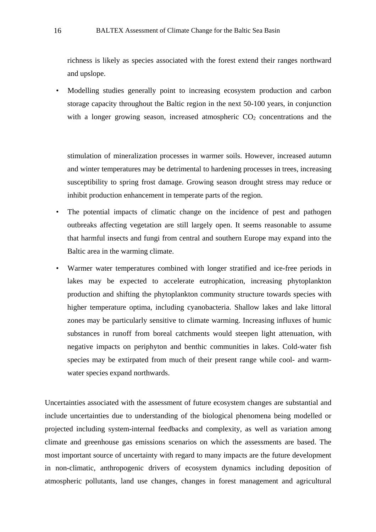richness is likely as species associated with the forest extend their ranges northward and upslope.

• Modelling studies generally point to increasing ecosystem production and carbon storage capacity throughout the Baltic region in the next 50-100 years, in conjunction with a longer growing season, increased atmospheric  $CO<sub>2</sub>$  concentrations and the

stimulation of mineralization processes in warmer soils. However, increased autumn and winter temperatures may be detrimental to hardening processes in trees, increasing susceptibility to spring frost damage. Growing season drought stress may reduce or inhibit production enhancement in temperate parts of the region.

- The potential impacts of climatic change on the incidence of pest and pathogen outbreaks affecting vegetation are still largely open. It seems reasonable to assume that harmful insects and fungi from central and southern Europe may expand into the Baltic area in the warming climate.
- Warmer water temperatures combined with longer stratified and ice-free periods in lakes may be expected to accelerate eutrophication, increasing phytoplankton production and shifting the phytoplankton community structure towards species with higher temperature optima, including cyanobacteria. Shallow lakes and lake littoral zones may be particularly sensitive to climate warming. Increasing influxes of humic substances in runoff from boreal catchments would steepen light attenuation, with negative impacts on periphyton and benthic communities in lakes. Cold-water fish species may be extirpated from much of their present range while cool- and warmwater species expand northwards.

Uncertainties associated with the assessment of future ecosystem changes are substantial and include uncertainties due to understanding of the biological phenomena being modelled or projected including system-internal feedbacks and complexity, as well as variation among climate and greenhouse gas emissions scenarios on which the assessments are based. The most important source of uncertainty with regard to many impacts are the future development in non-climatic, anthropogenic drivers of ecosystem dynamics including deposition of atmospheric pollutants, land use changes, changes in forest management and agricultural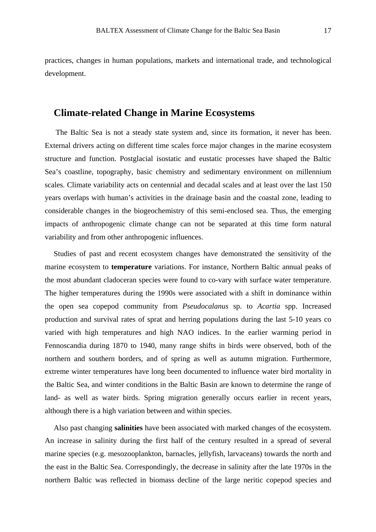practices, changes in human populations, markets and international trade, and technological development.

#### **Climate-related Change in Marine Ecosystems**

 The Baltic Sea is not a steady state system and, since its formation, it never has been. External drivers acting on different time scales force major changes in the marine ecosystem structure and function. Postglacial isostatic and eustatic processes have shaped the Baltic Sea's coastline, topography, basic chemistry and sedimentary environment on millennium scales. Climate variability acts on centennial and decadal scales and at least over the last 150 years overlaps with human's activities in the drainage basin and the coastal zone, leading to considerable changes in the biogeochemistry of this semi-enclosed sea. Thus, the emerging impacts of anthropogenic climate change can not be separated at this time form natural variability and from other anthropogenic influences.

Studies of past and recent ecosystem changes have demonstrated the sensitivity of the marine ecosystem to **temperature** variations. For instance, Northern Baltic annual peaks of the most abundant cladoceran species were found to co-vary with surface water temperature. The higher temperatures during the 1990s were associated with a shift in dominance within the open sea copepod community from *Pseudocalanus* sp. to *Acartia* spp. Increased production and survival rates of sprat and herring populations during the last 5-10 years co varied with high temperatures and high NAO indices. In the earlier warming period in Fennoscandia during 1870 to 1940, many range shifts in birds were observed, both of the northern and southern borders, and of spring as well as autumn migration. Furthermore, extreme winter temperatures have long been documented to influence water bird mortality in the Baltic Sea, and winter conditions in the Baltic Basin are known to determine the range of land- as well as water birds. Spring migration generally occurs earlier in recent years, although there is a high variation between and within species.

Also past changing **salinities** have been associated with marked changes of the ecosystem. An increase in salinity during the first half of the century resulted in a spread of several marine species (e.g. mesozooplankton, barnacles, jellyfish, larvaceans) towards the north and the east in the Baltic Sea. Correspondingly, the decrease in salinity after the late 1970s in the northern Baltic was reflected in biomass decline of the large neritic copepod species and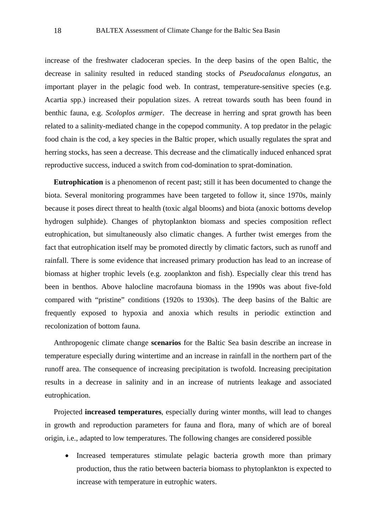increase of the freshwater cladoceran species. In the deep basins of the open Baltic, the decrease in salinity resulted in reduced standing stocks of *Pseudocalanus elongatus*, an important player in the pelagic food web. In contrast, temperature-sensitive species (e.g. Acartia spp.) increased their population sizes. A retreat towards south has been found in benthic fauna, e.g. *Scoloplos armiger*. The decrease in herring and sprat growth has been related to a salinity-mediated change in the copepod community. A top predator in the pelagic food chain is the cod, a key species in the Baltic proper, which usually regulates the sprat and herring stocks, has seen a decrease. This decrease and the climatically induced enhanced sprat reproductive success, induced a switch from cod-domination to sprat-domination.

**Eutrophication** is a phenomenon of recent past; still it has been documented to change the biota. Several monitoring programmes have been targeted to follow it, since 1970s, mainly because it poses direct threat to health (toxic algal blooms) and biota (anoxic bottoms develop hydrogen sulphide). Changes of phytoplankton biomass and species composition reflect eutrophication, but simultaneously also climatic changes. A further twist emerges from the fact that eutrophication itself may be promoted directly by climatic factors, such as runoff and rainfall. There is some evidence that increased primary production has lead to an increase of biomass at higher trophic levels (e.g. zooplankton and fish). Especially clear this trend has been in benthos. Above halocline macrofauna biomass in the 1990s was about five-fold compared with "pristine" conditions (1920s to 1930s). The deep basins of the Baltic are frequently exposed to hypoxia and anoxia which results in periodic extinction and recolonization of bottom fauna.

Anthropogenic climate change **scenarios** for the Baltic Sea basin describe an increase in temperature especially during wintertime and an increase in rainfall in the northern part of the runoff area. The consequence of increasing precipitation is twofold. Increasing precipitation results in a decrease in salinity and in an increase of nutrients leakage and associated eutrophication.

Projected **increased temperatures**, especially during winter months, will lead to changes in growth and reproduction parameters for fauna and flora, many of which are of boreal origin, i.e., adapted to low temperatures. The following changes are considered possible

• Increased temperatures stimulate pelagic bacteria growth more than primary production, thus the ratio between bacteria biomass to phytoplankton is expected to increase with temperature in eutrophic waters.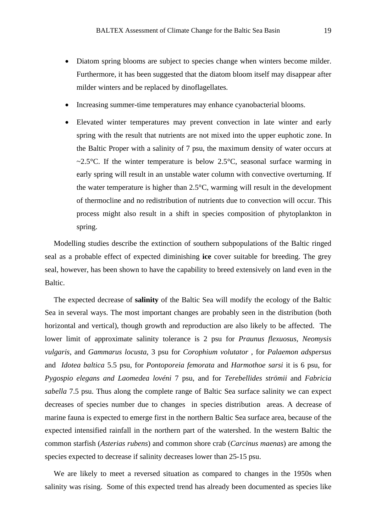- Diatom spring blooms are subject to species change when winters become milder. Furthermore, it has been suggested that the diatom bloom itself may disappear after milder winters and be replaced by dinoflagellates.
- Increasing summer-time temperatures may enhance cyanobacterial blooms.
- Elevated winter temperatures may prevent convection in late winter and early spring with the result that nutrients are not mixed into the upper euphotic zone. In the Baltic Proper with a salinity of 7 psu, the maximum density of water occurs at  $\sim$ 2.5°C. If the winter temperature is below 2.5°C, seasonal surface warming in early spring will result in an unstable water column with convective overturning. If the water temperature is higher than 2.5°C, warming will result in the development of thermocline and no redistribution of nutrients due to convection will occur. This process might also result in a shift in species composition of phytoplankton in spring.

Modelling studies describe the extinction of southern subpopulations of the Baltic ringed seal as a probable effect of expected diminishing **ice** cover suitable for breeding. The grey seal, however, has been shown to have the capability to breed extensively on land even in the Baltic.

The expected decrease of **salinity** of the Baltic Sea will modify the ecology of the Baltic Sea in several ways. The most important changes are probably seen in the distribution (both horizontal and vertical), though growth and reproduction are also likely to be affected. The lower limit of approximate salinity tolerance is 2 psu for *Praunus flexuosus*, *Neomysis vulgaris,* and *Gammarus locusta*, 3 psu for *Corophium volutator* , for *Palaemon adspersus*  and *Idotea baltica* 5.5 psu, for *Pontoporeia femorata* and *Harmothoe sarsi* it is 6 psu, for *Pygospio elegans and Laomedea lovéni* 7 psu, and for *Terebellides strömii* and *Fabricia sabella* 7.5 psu. Thus along the complete range of Baltic Sea surface salinity we can expect decreases of species number due to changes in species distribution areas. A decrease of marine fauna is expected to emerge first in the northern Baltic Sea surface area, because of the expected intensified rainfall in the northern part of the watershed. In the western Baltic the common starfish (*Asterias rubens*) and common shore crab (*Carcinus maenas*) are among the species expected to decrease if salinity decreases lower than 25-15 psu.

We are likely to meet a reversed situation as compared to changes in the 1950s when salinity was rising. Some of this expected trend has already been documented as species like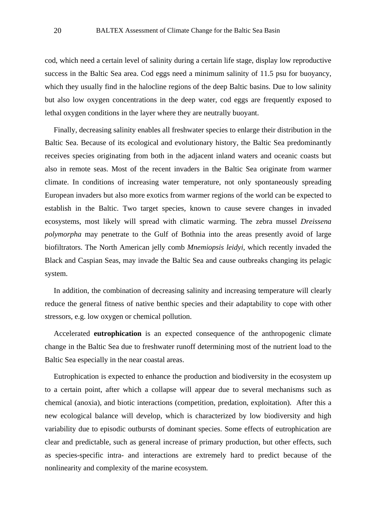cod, which need a certain level of salinity during a certain life stage, display low reproductive success in the Baltic Sea area. Cod eggs need a minimum salinity of 11.5 psu for buoyancy, which they usually find in the halocline regions of the deep Baltic basins. Due to low salinity but also low oxygen concentrations in the deep water, cod eggs are frequently exposed to lethal oxygen conditions in the layer where they are neutrally buoyant.

Finally, decreasing salinity enables all freshwater species to enlarge their distribution in the Baltic Sea. Because of its ecological and evolutionary history, the Baltic Sea predominantly receives species originating from both in the adjacent inland waters and oceanic coasts but also in remote seas. Most of the recent invaders in the Baltic Sea originate from warmer climate. In conditions of increasing water temperature, not only spontaneously spreading European invaders but also more exotics from warmer regions of the world can be expected to establish in the Baltic. Two target species, known to cause severe changes in invaded ecosystems, most likely will spread with climatic warming. The zebra mussel *Dreissena polymorpha* may penetrate to the Gulf of Bothnia into the areas presently avoid of large biofiltrators. The North American jelly comb *Mnemiopsis leidyi,* which recently invaded the Black and Caspian Seas, may invade the Baltic Sea and cause outbreaks changing its pelagic system.

In addition, the combination of decreasing salinity and increasing temperature will clearly reduce the general fitness of native benthic species and their adaptability to cope with other stressors, e.g. low oxygen or chemical pollution.

Accelerated **eutrophication** is an expected consequence of the anthropogenic climate change in the Baltic Sea due to freshwater runoff determining most of the nutrient load to the Baltic Sea especially in the near coastal areas.

Eutrophication is expected to enhance the production and biodiversity in the ecosystem up to a certain point, after which a collapse will appear due to several mechanisms such as chemical (anoxia), and biotic interactions (competition, predation, exploitation). After this a new ecological balance will develop, which is characterized by low biodiversity and high variability due to episodic outbursts of dominant species. Some effects of eutrophication are clear and predictable, such as general increase of primary production, but other effects, such as species-specific intra- and interactions are extremely hard to predict because of the nonlinearity and complexity of the marine ecosystem.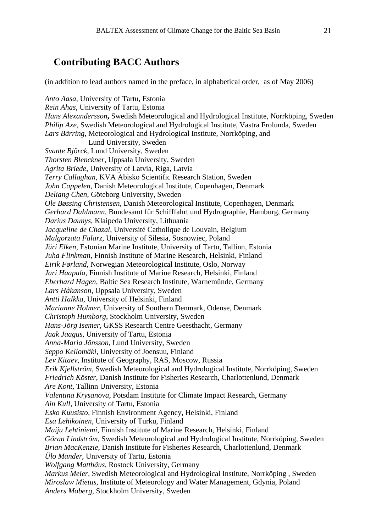### **Contributing BACC Authors**

(in addition to lead authors named in the preface, in alphabetical order, as of May 2006)

*Anto Aasa*, University of Tartu, Estonia *Rein Ahas*, University of Tartu, Estonia *Hans Alexandersson***,** Swedish Meteorological and Hydrological Institute, Norrköping, Sweden *Philip Axe*, Swedish Meteorological and Hydrological Institute, Vastra Frolunda, Sweden *Lars Bärring*, Meteorological and Hydrological Institute, Norrköping, and Lund University, Sweden *Svante Björck*, Lund University, Sweden *Thorsten Blenckner*, Uppsala University, Sweden *Agrita Briede*, University of Latvia, Riga, Latvia *Terry Callaghan*, KVA Abisko Scientific Research Station, Sweden *John Cappelen*, Danish Meteorological Institute, Copenhagen, Denmark *Deliang Chen*, Göteborg University, Sweden *Ole Bøssing Christensen*, Danish Meteorological Institute, Copenhagen, Denmark *Gerhard Dahlmann*, Bundesamt für Schifffahrt und Hydrographie, Hamburg, Germany *Darius Daunys*, Klaipeda University, Lithuania *Jacqueline de Chazal*, Université Catholique de Louvain, Belgium *Malgorzata Falarz*, University of Silesia, Sosnowiec, Poland *Jüri Elken*, Estonian Marine Institute, University of Tartu, Tallinn, Estonia *Juha Flinkman*, Finnish Institute of Marine Research, Helsinki, Finland *Eirik Førland*, Norwegian Meteorological Institute, Oslo, Norway *Jari Haapala*, Finnish Institute of Marine Research, Helsinki, Finland *Eberhard Hagen*, Baltic Sea Research Institute, Warnemünde, Germany *Lars Håkanson*, Uppsala University, Sweden *Antti Halkka*, University of Helsinki, Finland *Marianne Holmer*, University of Southern Denmark, Odense, Denmark *Christoph Humborg*, Stockholm University, Sweden *Hans-Jörg Isemer*, GKSS Research Centre Geesthacht, Germany *Jaak Jaagus,* University of Tartu, Estonia *Anna-Maria Jönsson*, Lund University, Sweden *Seppo Kellomäki*, University of Joensuu, Finland *Lev Kitaev,* Institute of Geography, RAS, Moscow, Russia *Erik Kjellström*, Swedish Meteorological and Hydrological Institute, Norrköping, Sweden *Friedrich Köster*, Danish Institute for Fisheries Research, Charlottenlund, Denmark *Are Kont,* Tallinn University, Estonia *Valentina Krysanova*, Potsdam Institute for Climate Impact Research, Germany *Ain Kull*, University of Tartu, Estonia *Esko Kuusisto,* Finnish Environment Agency, Helsinki, Finland *Esa Lehikoinen*, University of Turku, Finland *Maiju Lehtiniemi*, Finnish Institute of Marine Research, Helsinki, Finland *Göran Lindström,* Swedish Meteorological and Hydrological Institute, Norrköping, Sweden *Brian MacKenzie*, Danish Institute for Fisheries Research, Charlottenlund, Denmark *Ülo Mander*, University of Tartu, Estonia *Wolfgang Matthäus*, Rostock University, Germany *Markus Meier,* Swedish Meteorological and Hydrological Institute, Norrköping , Sweden *Miroslaw Mietus,* Institute of Meteorology and Water Management, Gdynia, Poland *Anders Moberg,* Stockholm University, Sweden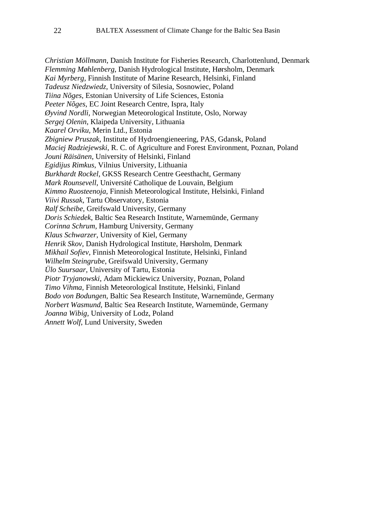*Christian Möllmann*, Danish Institute for Fisheries Research, Charlottenlund, Denmark *Flemming Møhlenberg*, Danish Hydrological Institute, Hørsholm, Denmark *Kai Myrberg,* Finnish Institute of Marine Research, Helsinki, Finland *Tadeusz Niedzwiedz,* University of Silesia, Sosnowiec, Poland *Tiina Nõges*, Estonian University of Life Sciences, Estonia *Peeter Nõges*, EC Joint Research Centre, Ispra, Italy *Øyvind Nordli,* Norwegian Meteorological Institute, Oslo, Norway *Sergej Olenin*, Klaipeda University, Lithuania *Kaarel Orviku,* Merin Ltd., Estonia *Zbigniew Pruszak,* Institute of Hydroengieneering, PAS, Gdansk, Poland *Maciej Radziejewski*, R. C. of Agriculture and Forest Environment, Poznan, Poland *Jouni Räisänen*, University of Helsinki, Finland *Egidijus Rimkus,* Vilnius University, Lithuania *Burkhardt Rockel*, GKSS Research Centre Geesthacht, Germany *Mark Rounsevell*, Université Catholique de Louvain, Belgium *Kimmo Ruosteenoja*, Finnish Meteorological Institute, Helsinki, Finland *Viivi Russak,* Tartu Observatory, Estonia *Ralf Scheibe*, Greifswald University, Germany *Doris Schiedek*, Baltic Sea Research Institute, Warnemünde, Germany *Corinna Schrum,* Hamburg University, Germany *Klaus Schwarzer*, University of Kiel, Germany *Henrik Skov*, Danish Hydrological Institute, Hørsholm, Denmark *Mikhail Sofiev*, Finnish Meteorological Institute, Helsinki, Finland *Wilhelm Steingrube*, Greifswald University, Germany *Ülo Suursaar,* University of Tartu, Estonia *Piotr Tryjanowski*, Adam Mickiewicz University, Poznan, Poland *Timo Vihma,* Finnish Meteorological Institute, Helsinki, Finland *Bodo von Bodungen*, Baltic Sea Research Institute, Warnemünde, Germany *Norbert Wasmund*, Baltic Sea Research Institute, Warnemünde, Germany *Joanna Wibig,* University of Lodz, Poland *Annett Wolf*, Lund University, Sweden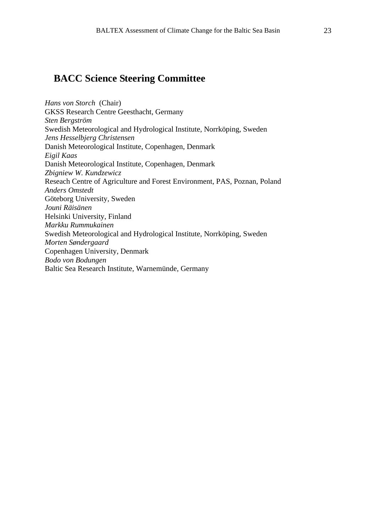### **BACC Science Steering Committee**

*Hans von Storch* (Chair) GKSS Research Centre Geesthacht, Germany *Sten Bergström* Swedish Meteorological and Hydrological Institute, Norrköping, Sweden *Jens Hesselbjerg Christensen* Danish Meteorological Institute, Copenhagen, Denmark *Eigil Kaas* Danish Meteorological Institute, Copenhagen, Denmark *Zbigniew W. Kundzewicz* Reseach Centre of Agriculture and Forest Environment, PAS, Poznan, Poland *Anders Omstedt* Göteborg University, Sweden *Jouni Räisänen* Helsinki University, Finland *Markku Rummukainen* Swedish Meteorological and Hydrological Institute, Norrköping, Sweden *Morten Søndergaard* Copenhagen University, Denmark *Bodo von Bodungen* Baltic Sea Research Institute, Warnemünde, Germany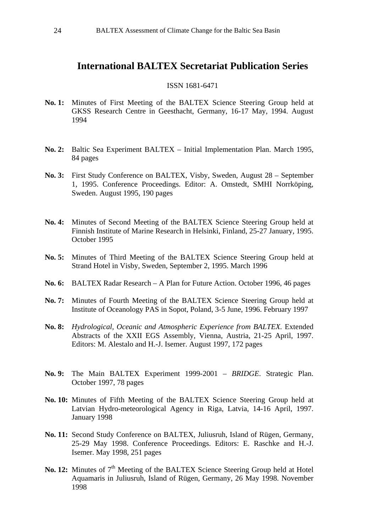### **International BALTEX Secretariat Publication Series**

#### ISSN 1681-6471

- **No. 1:** Minutes of First Meeting of the BALTEX Science Steering Group held at GKSS Research Centre in Geesthacht, Germany, 16-17 May, 1994. August 1994
- **No. 2:** Baltic Sea Experiment BALTEX Initial Implementation Plan. March 1995, 84 pages
- **No. 3:** First Study Conference on BALTEX, Visby, Sweden, August 28 September 1, 1995. Conference Proceedings. Editor: A. Omstedt, SMHI Norrköping, Sweden. August 1995, 190 pages
- **No. 4:** Minutes of Second Meeting of the BALTEX Science Steering Group held at Finnish Institute of Marine Research in Helsinki, Finland, 25-27 January, 1995. October 1995
- **No. 5:** Minutes of Third Meeting of the BALTEX Science Steering Group held at Strand Hotel in Visby, Sweden, September 2, 1995. March 1996
- **No. 6:** BALTEX Radar Research A Plan for Future Action. October 1996, 46 pages
- **No. 7:** Minutes of Fourth Meeting of the BALTEX Science Steering Group held at Institute of Oceanology PAS in Sopot, Poland, 3-5 June, 1996. February 1997
- **No. 8:** *Hydrological, Oceanic and Atmospheric Experience from BALTEX.* Extended Abstracts of the XXII EGS Assembly, Vienna, Austria, 21-25 April, 1997. Editors: M. Alestalo and H.-J. Isemer. August 1997, 172 pages
- **No. 9:** The Main BALTEX Experiment 1999-2001 *BRIDGE*. Strategic Plan. October 1997, 78 pages
- **No. 10:** Minutes of Fifth Meeting of the BALTEX Science Steering Group held at Latvian Hydro-meteorological Agency in Riga, Latvia, 14-16 April, 1997. January 1998
- **No. 11:** Second Study Conference on BALTEX, Juliusruh, Island of Rügen, Germany, 25-29 May 1998. Conference Proceedings. Editors: E. Raschke and H.-J. Isemer. May 1998, 251 pages
- **No. 12:** Minutes of 7<sup>th</sup> Meeting of the BALTEX Science Steering Group held at Hotel Aquamaris in Juliusruh, Island of Rügen, Germany, 26 May 1998. November 1998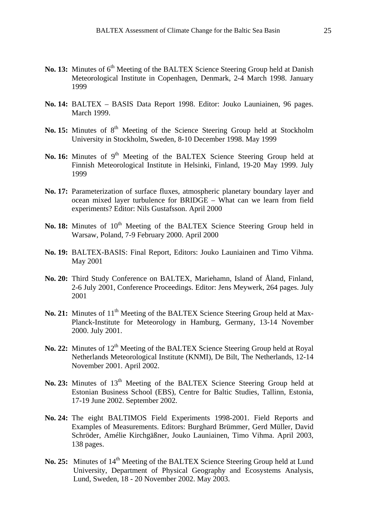- No. 13: Minutes of 6<sup>th</sup> Meeting of the BALTEX Science Steering Group held at Danish Meteorological Institute in Copenhagen, Denmark, 2-4 March 1998. January 1999
- **No. 14:** BALTEX BASIS Data Report 1998. Editor: Jouko Launiainen, 96 pages. March 1999.
- **No. 15:** Minutes of 8<sup>th</sup> Meeting of the Science Steering Group held at Stockholm University in Stockholm, Sweden, 8-10 December 1998. May 1999
- No. 16: Minutes of 9<sup>th</sup> Meeting of the BALTEX Science Steering Group held at Finnish Meteorological Institute in Helsinki, Finland, 19-20 May 1999. July 1999
- **No. 17:** Parameterization of surface fluxes, atmospheric planetary boundary layer and ocean mixed layer turbulence for BRIDGE – What can we learn from field experiments? Editor: Nils Gustafsson. April 2000
- **No. 18:** Minutes of 10<sup>th</sup> Meeting of the BALTEX Science Steering Group held in Warsaw, Poland, 7-9 February 2000. April 2000
- **No. 19:** BALTEX-BASIS: Final Report, Editors: Jouko Launiainen and Timo Vihma. May 2001
- **No. 20:** Third Study Conference on BALTEX, Mariehamn, Island of Åland, Finland, 2-6 July 2001, Conference Proceedings. Editor: Jens Meywerk, 264 pages. July 2001
- **No. 21:** Minutes of 11<sup>th</sup> Meeting of the BALTEX Science Steering Group held at Max-Planck-Institute for Meteorology in Hamburg, Germany, 13-14 November 2000. July 2001.
- **No. 22:** Minutes of 12<sup>th</sup> Meeting of the BALTEX Science Steering Group held at Royal Netherlands Meteorological Institute (KNMI), De Bilt, The Netherlands, 12-14 November 2001. April 2002.
- No. 23: Minutes of 13<sup>th</sup> Meeting of the BALTEX Science Steering Group held at Estonian Business School (EBS), Centre for Baltic Studies, Tallinn, Estonia, 17-19 June 2002. September 2002.
- **No. 24:** The eight BALTIMOS Field Experiments 1998-2001. Field Reports and Examples of Measurements. Editors: Burghard Brümmer, Gerd Müller, David Schröder, Amélie Kirchgäßner, Jouko Launiainen, Timo Vihma. April 2003, 138 pages.
- **No. 25:** Minutes of 14<sup>th</sup> Meeting of the BALTEX Science Steering Group held at Lund University, Department of Physical Geography and Ecosystems Analysis, Lund, Sweden, 18 - 20 November 2002. May 2003.